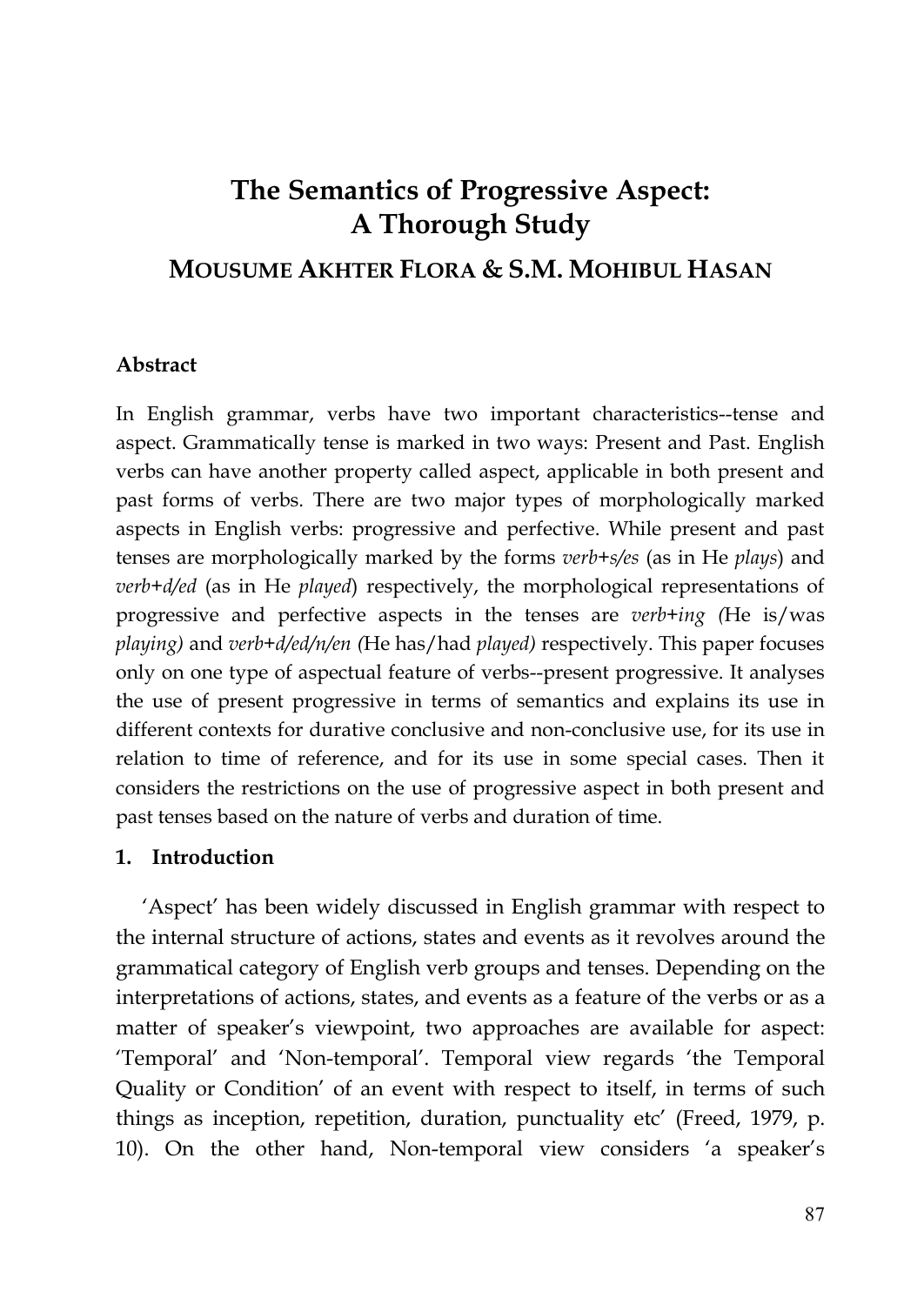# **The Semantics of Progressive Aspect: A Thorough Study**

# **MOUSUME AKHTER FLORA & S.M. MOHIBUL HASAN**

#### **Abstract**

In English grammar, verbs have two important characteristics--tense and aspect. Grammatically tense is marked in two ways: Present and Past. English verbs can have another property called aspect, applicable in both present and past forms of verbs. There are two major types of morphologically marked aspects in English verbs: progressive and perfective. While present and past tenses are morphologically marked by the forms *verb+s/es* (as in He *plays*) and *verb+d/ed* (as in He *played*) respectively, the morphological representations of progressive and perfective aspects in the tenses are *verb+ing (*He is/was *playing)* and *verb+d/ed/n/en (*He has/had *played)* respectively. This paper focuses only on one type of aspectual feature of verbs--present progressive. It analyses the use of present progressive in terms of semantics and explains its use in different contexts for durative conclusive and non-conclusive use, for its use in relation to time of reference, and for its use in some special cases. Then it considers the restrictions on the use of progressive aspect in both present and past tenses based on the nature of verbs and duration of time.

#### **1. Introduction**

'Aspect' has been widely discussed in English grammar with respect to the internal structure of actions, states and events as it revolves around the grammatical category of English verb groups and tenses. Depending on the interpretations of actions, states, and events as a feature of the verbs or as a matter of speaker's viewpoint, two approaches are available for aspect: 'Temporal' and 'Non-temporal'. Temporal view regards 'the Temporal Quality or Condition' of an event with respect to itself, in terms of such things as inception, repetition, duration, punctuality etc' (Freed, 1979, p. 10). On the other hand, Non-temporal view considers 'a speaker's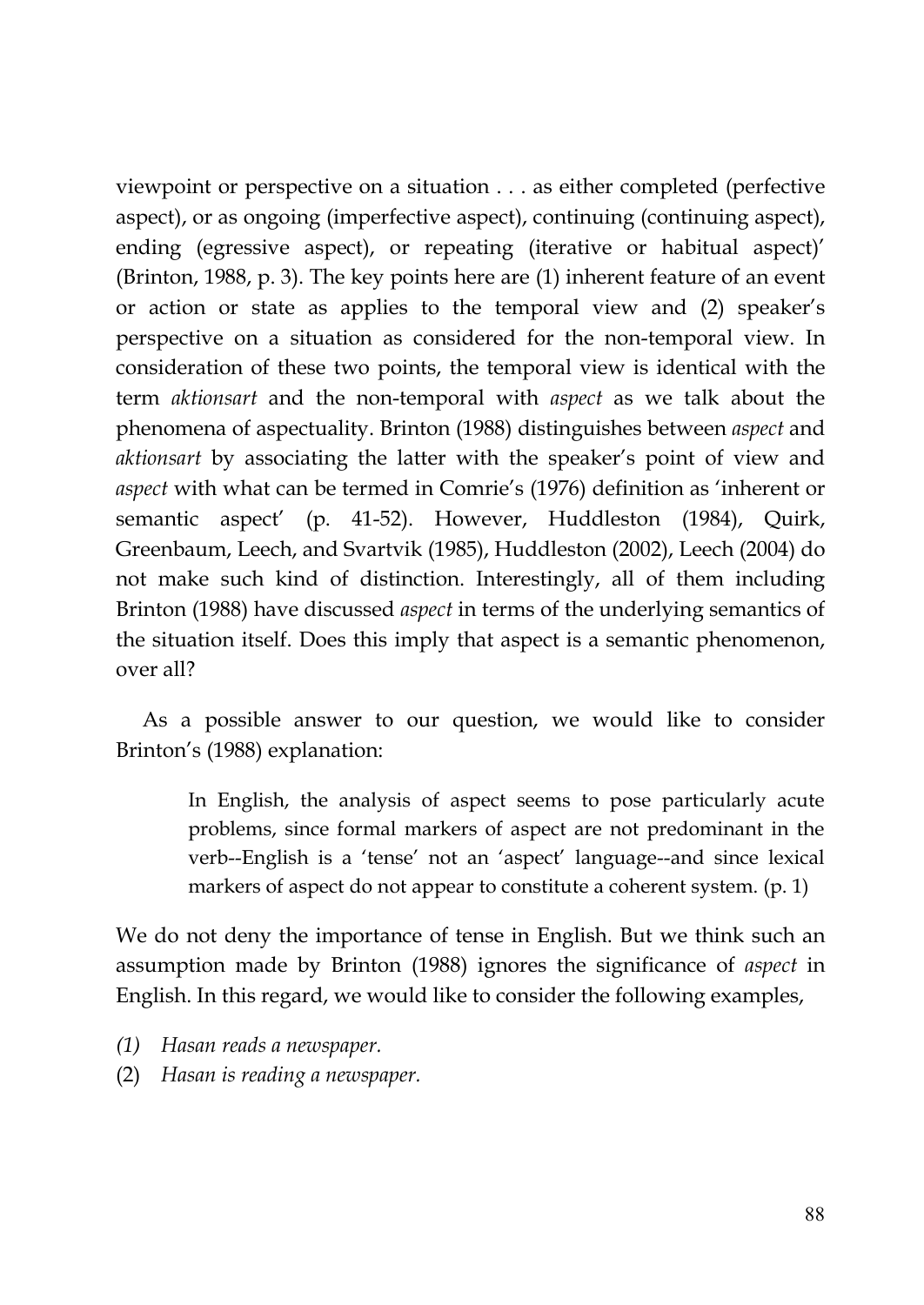viewpoint or perspective on a situation . . . as either completed (perfective aspect), or as ongoing (imperfective aspect), continuing (continuing aspect), ending (egressive aspect), or repeating (iterative or habitual aspect)' (Brinton, 1988, p. 3). The key points here are (1) inherent feature of an event or action or state as applies to the temporal view and (2) speaker's perspective on a situation as considered for the non-temporal view. In consideration of these two points, the temporal view is identical with the term *aktionsart* and the non-temporal with *aspect* as we talk about the phenomena of aspectuality. Brinton (1988) distinguishes between *aspect* and *aktionsart* by associating the latter with the speaker's point of view and *aspect* with what can be termed in Comrie's (1976) definition as 'inherent or semantic aspect' (p. 41-52). However, Huddleston (1984), Quirk, Greenbaum, Leech, and Svartvik (1985), Huddleston (2002), Leech (2004) do not make such kind of distinction. Interestingly, all of them including Brinton (1988) have discussed *aspect* in terms of the underlying semantics of the situation itself. Does this imply that aspect is a semantic phenomenon, over all?

As a possible answer to our question, we would like to consider Brinton's (1988) explanation:

> In English, the analysis of aspect seems to pose particularly acute problems, since formal markers of aspect are not predominant in the verb--English is a 'tense' not an 'aspect' language--and since lexical markers of aspect do not appear to constitute a coherent system.  $(p, 1)$

We do not deny the importance of tense in English. But we think such an assumption made by Brinton (1988) ignores the significance of *aspect* in English. In this regard, we would like to consider the following examples,

- *(1) Hasan reads a newspaper.*
- (2) *Hasan is reading a newspaper.*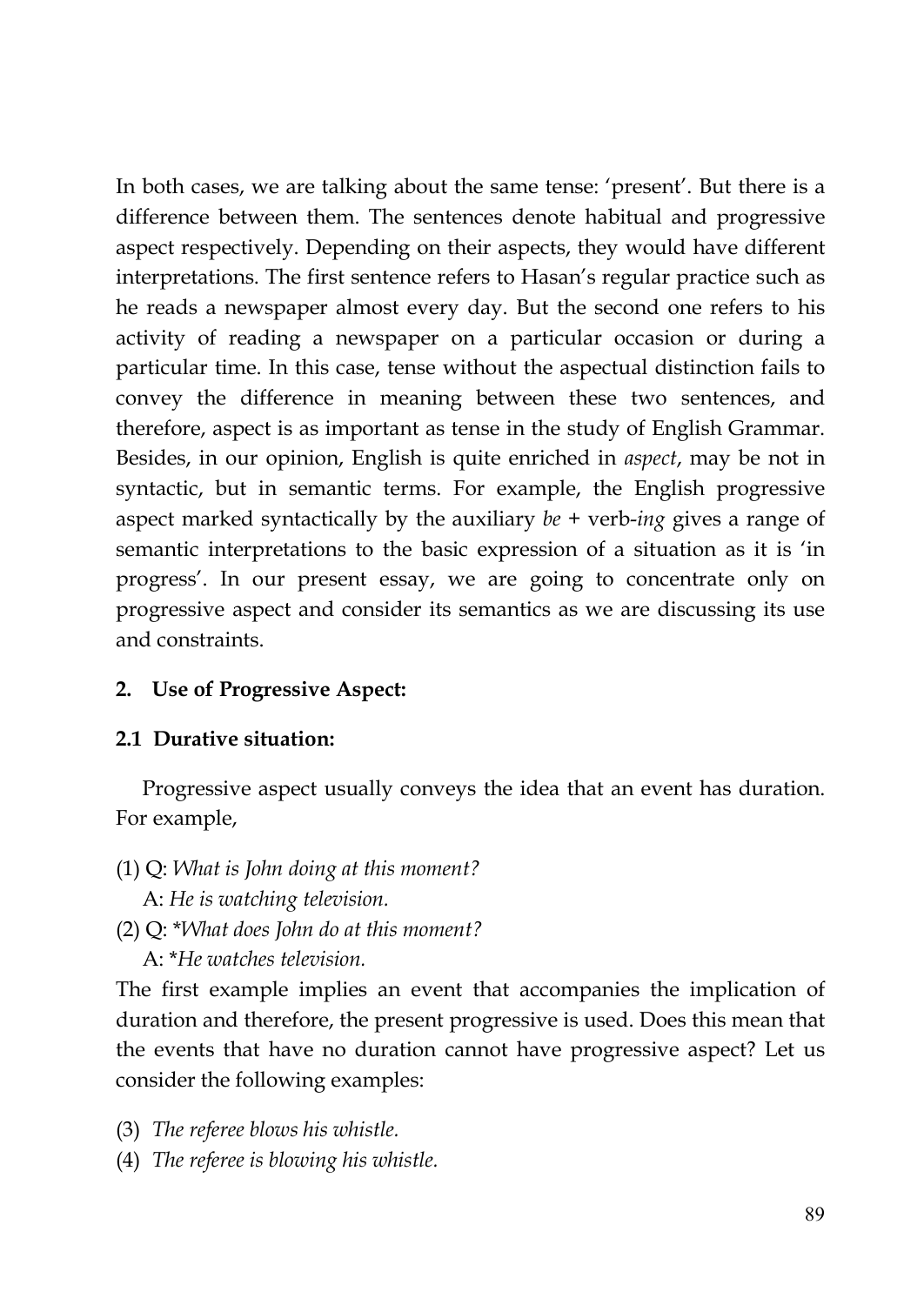In both cases, we are talking about the same tense: 'present'. But there is a difference between them. The sentences denote habitual and progressive aspect respectively. Depending on their aspects, they would have different interpretations. The first sentence refers to Hasan's regular practice such as he reads a newspaper almost every day. But the second one refers to his activity of reading a newspaper on a particular occasion or during a particular time. In this case, tense without the aspectual distinction fails to convey the difference in meaning between these two sentences, and therefore, aspect is as important as tense in the study of English Grammar. Besides, in our opinion, English is quite enriched in *aspect*, may be not in syntactic, but in semantic terms. For example, the English progressive aspect marked syntactically by the auxiliary *be* + verb-*ing* gives a range of semantic interpretations to the basic expression of a situation as it is 'in progress'. In our present essay, we are going to concentrate only on progressive aspect and consider its semantics as we are discussing its use and constraints.

## **2. Use of Progressive Aspect:**

#### **2.1 Durative situation:**

Progressive aspect usually conveys the idea that an event has duration. For example,

- (1) Q: *What is John doing at this moment?*
	- A: *He is watching television.*
- (2) Q: \**What does John do at this moment?*
	- A: \**He watches television.*

The first example implies an event that accompanies the implication of duration and therefore, the present progressive is used. Does this mean that the events that have no duration cannot have progressive aspect? Let us consider the following examples:

- (3) *The referee blows his whistle.*
- (4) *The referee is blowing his whistle.*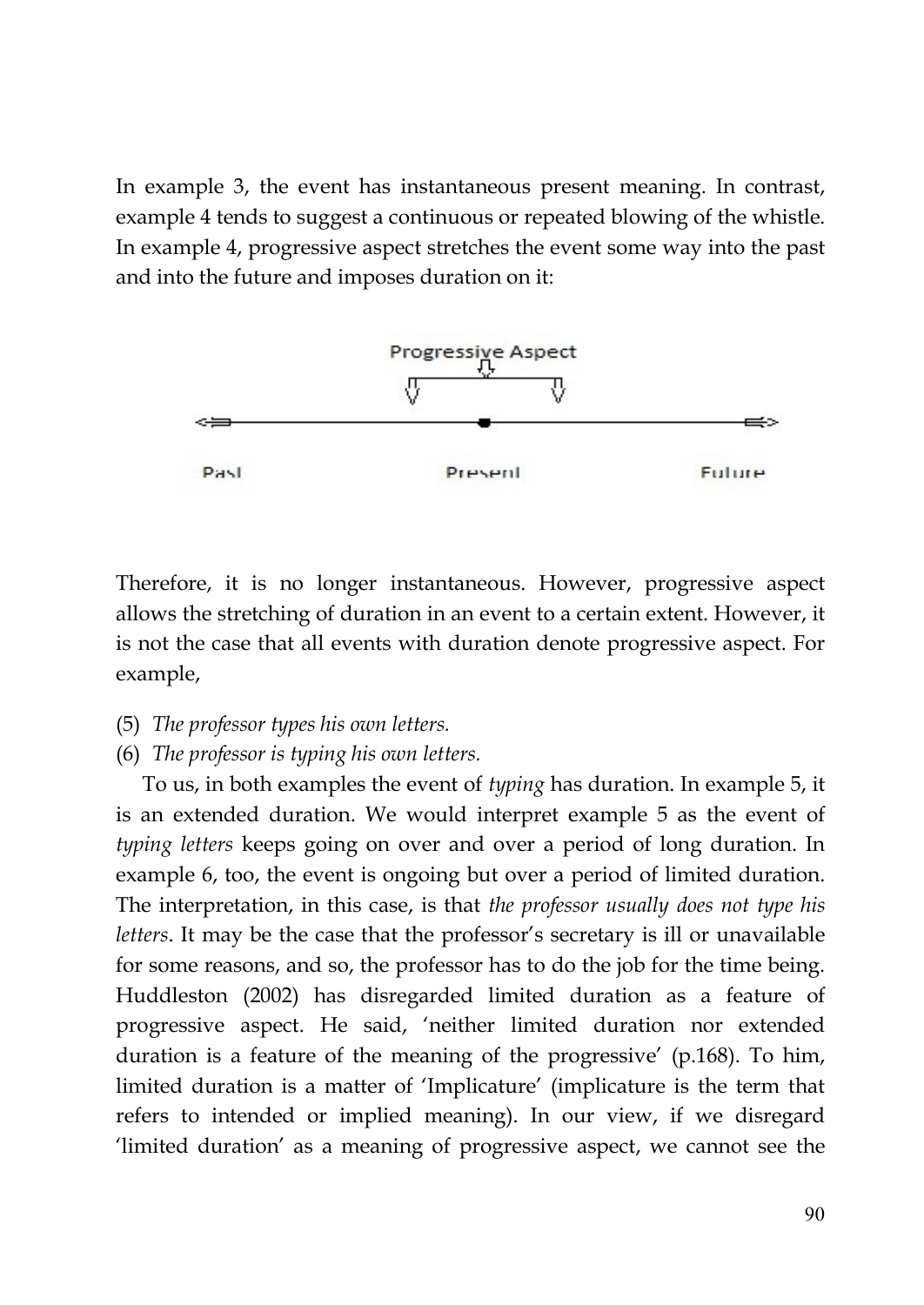In example 3, the event has instantaneous present meaning. In contrast, example 4 tends to suggest a continuous or repeated blowing of the whistle. In example 4, progressive aspect stretches the event some way into the past and into the future and imposes duration on it:



Therefore, it is no longer instantaneous. However, progressive aspect allows the stretching of duration in an event to a certain extent. However, it is not the case that all events with duration denote progressive aspect. For example,

- (5) *The professor types his own letters.*
- (6) *The professor is typing his own letters.*

To us, in both examples the event of *typing* has duration. In example 5, it is an extended duration. We would interpret example 5 as the event of *typing letters* keeps going on over and over a period of long duration. In example 6, too, the event is ongoing but over a period of limited duration. The interpretation, in this case, is that *the professor usually does not type his letters*. It may be the case that the professor's secretary is ill or unavailable for some reasons, and so, the professor has to do the job for the time being. Huddleston (2002) has disregarded limited duration as a feature of progressive aspect. He said, 'neither limited duration nor extended duration is a feature of the meaning of the progressive' (p.168). To him, limited duration is a matter of 'Implicature' (implicature is the term that refers to intended or implied meaning). In our view, if we disregard 'limited duration' as a meaning of progressive aspect, we cannot see the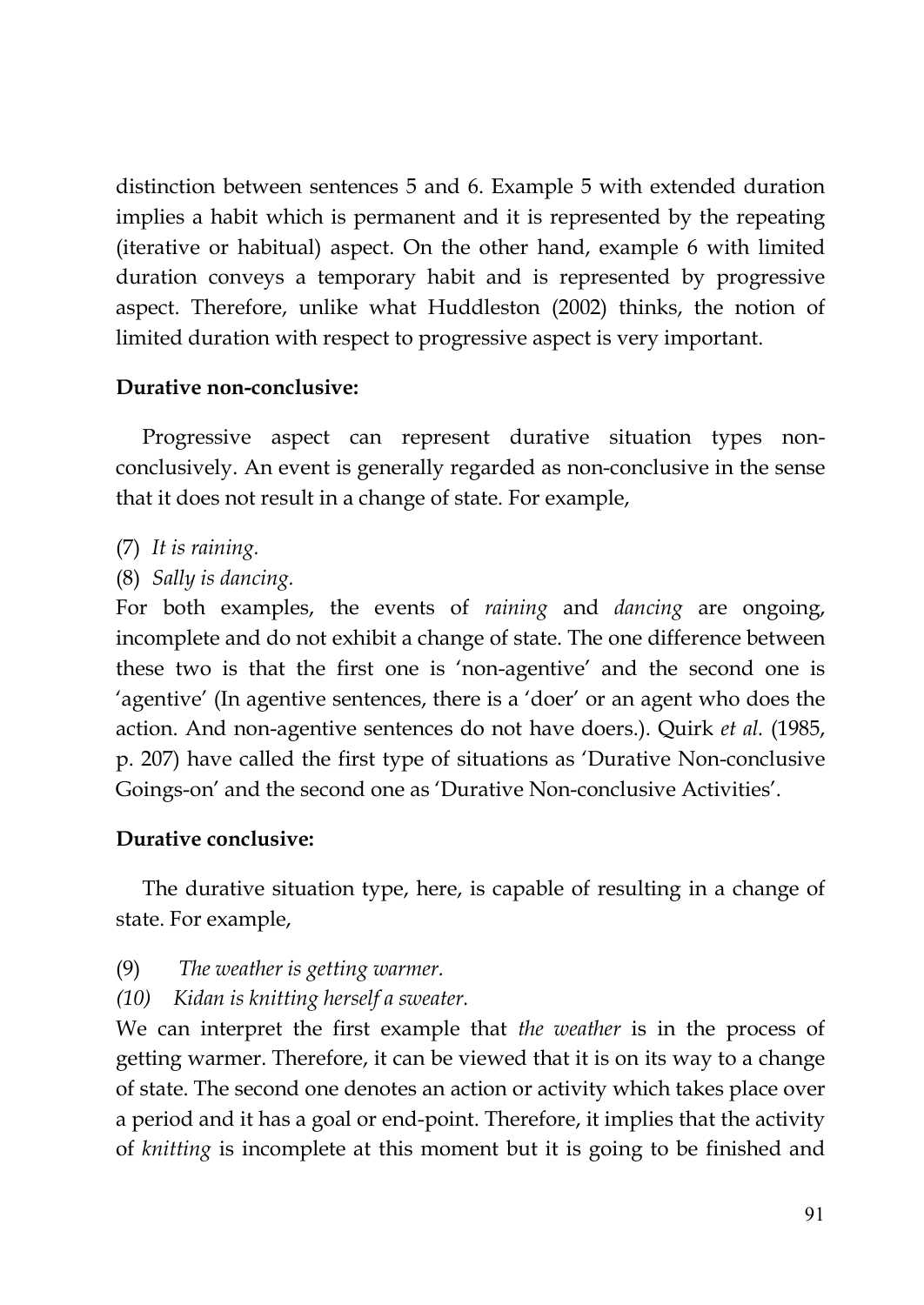distinction between sentences 5 and 6. Example 5 with extended duration implies a habit which is permanent and it is represented by the repeating (iterative or habitual) aspect. On the other hand, example 6 with limited duration conveys a temporary habit and is represented by progressive aspect. Therefore, unlike what Huddleston (2002) thinks, the notion of limited duration with respect to progressive aspect is very important.

## **Durative non-conclusive:**

Progressive aspect can represent durative situation types nonconclusively. An event is generally regarded as non-conclusive in the sense that it does not result in a change of state. For example,

- (7) *It is raining.*
- (8) *Sally is dancing.*

For both examples, the events of *raining* and *dancing* are ongoing, incomplete and do not exhibit a change of state. The one difference between these two is that the first one is 'non-agentive' and the second one is 'agentive' (In agentive sentences, there is a 'doer' or an agent who does the action. And non-agentive sentences do not have doers.). Quirk *et al.* (1985, p. 207) have called the first type of situations as 'Durative Non-conclusive Goings-on' and the second one as 'Durative Non-conclusive Activities'.

## **Durative conclusive:**

The durative situation type, here, is capable of resulting in a change of state. For example,

- (9) *The weather is getting warmer.*
- *(10) Kidan is knitting herself a sweater.*

We can interpret the first example that *the weather* is in the process of getting warmer. Therefore, it can be viewed that it is on its way to a change of state. The second one denotes an action or activity which takes place over a period and it has a goal or end-point. Therefore, it implies that the activity of *knitting* is incomplete at this moment but it is going to be finished and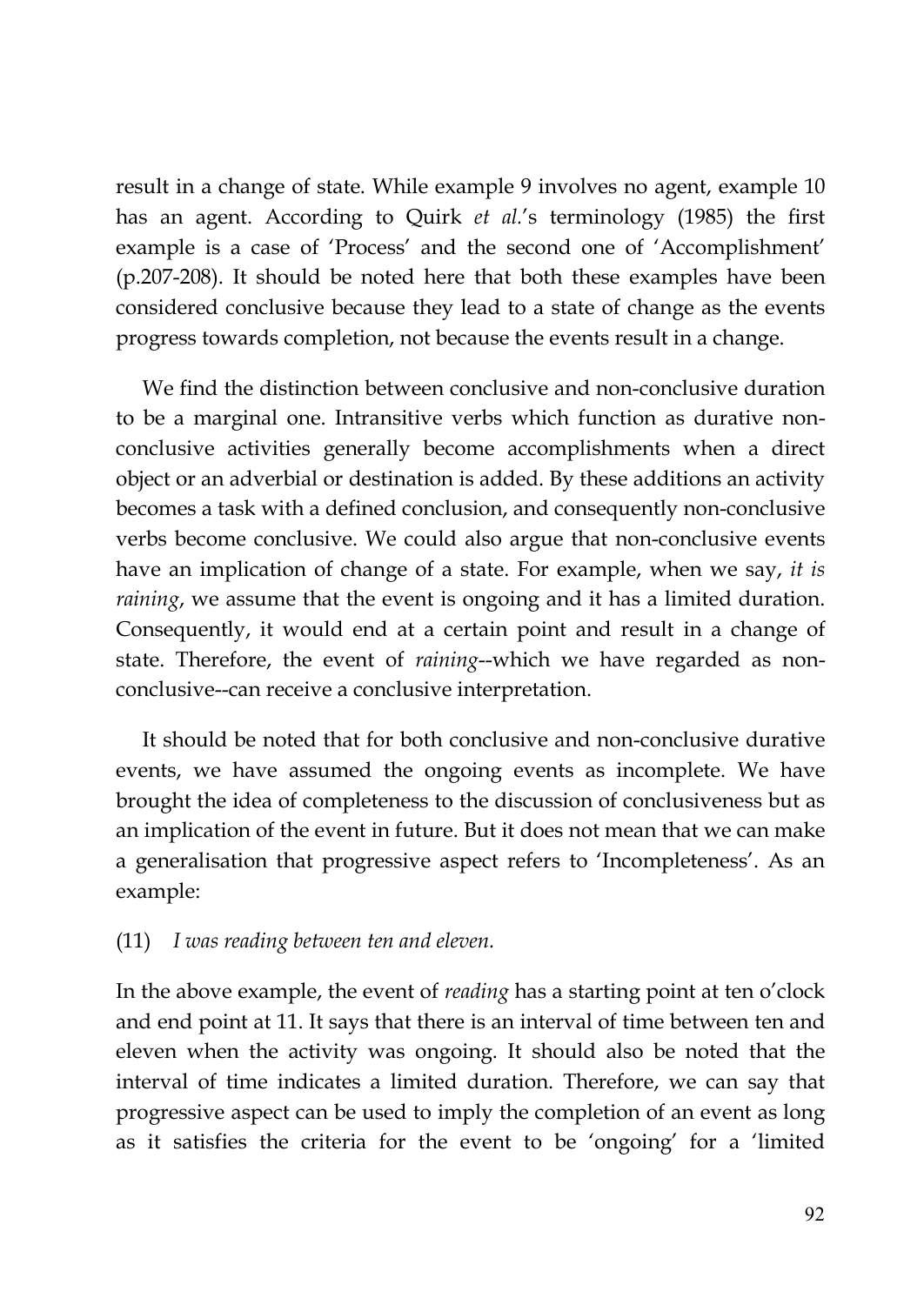result in a change of state. While example 9 involves no agent, example 10 has an agent. According to Quirk *et al.*'s terminology (1985) the first example is a case of 'Process' and the second one of 'Accomplishment' (p.207-208). It should be noted here that both these examples have been considered conclusive because they lead to a state of change as the events progress towards completion, not because the events result in a change.

We find the distinction between conclusive and non-conclusive duration to be a marginal one. Intransitive verbs which function as durative nonconclusive activities generally become accomplishments when a direct object or an adverbial or destination is added. By these additions an activity becomes a task with a defined conclusion, and consequently non-conclusive verbs become conclusive. We could also argue that non-conclusive events have an implication of change of a state. For example, when we say, *it is raining*, we assume that the event is ongoing and it has a limited duration. Consequently, it would end at a certain point and result in a change of state. Therefore, the event of *raining*--which we have regarded as nonconclusive--can receive a conclusive interpretation.

It should be noted that for both conclusive and non-conclusive durative events, we have assumed the ongoing events as incomplete. We have brought the idea of completeness to the discussion of conclusiveness but as an implication of the event in future. But it does not mean that we can make a generalisation that progressive aspect refers to 'Incompleteness'. As an example:

## (11) *I was reading between ten and eleven.*

In the above example, the event of *reading* has a starting point at ten o'clock and end point at 11. It says that there is an interval of time between ten and eleven when the activity was ongoing. It should also be noted that the interval of time indicates a limited duration. Therefore, we can say that progressive aspect can be used to imply the completion of an event as long as it satisfies the criteria for the event to be 'ongoing' for a 'limited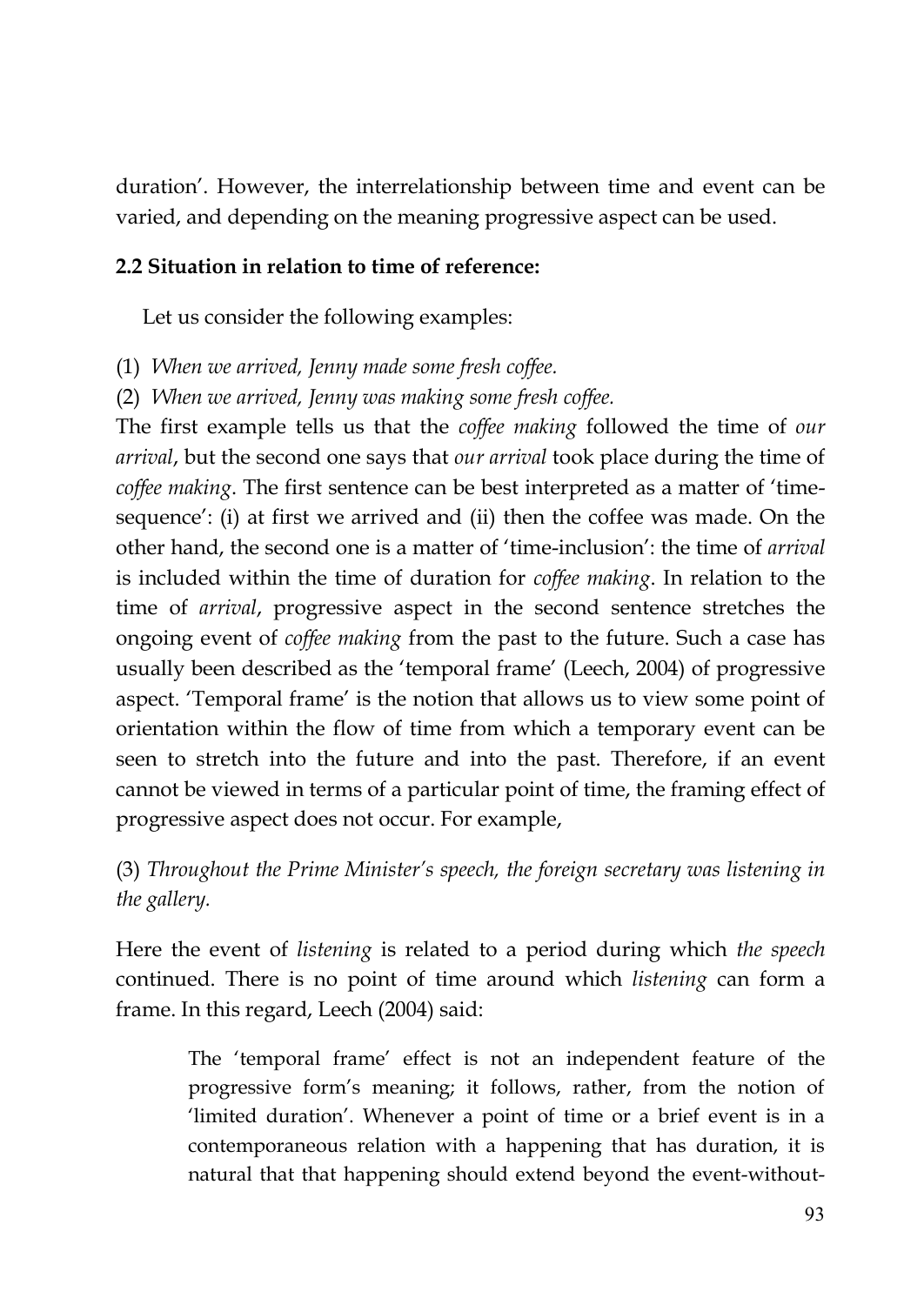duration'. However, the interrelationship between time and event can be varied, and depending on the meaning progressive aspect can be used.

## **2.2 Situation in relation to time of reference:**

Let us consider the following examples:

- (1) *When we arrived, Jenny made some fresh coffee.*
- (2) *When we arrived, Jenny was making some fresh coffee.*

The first example tells us that the *coffee making* followed the time of *our arrival*, but the second one says that *our arrival* took place during the time of *coffee making*. The first sentence can be best interpreted as a matter of 'timesequence': (i) at first we arrived and (ii) then the coffee was made. On the other hand, the second one is a matter of 'time-inclusion': the time of *arrival* is included within the time of duration for *coffee making*. In relation to the time of *arrival*, progressive aspect in the second sentence stretches the ongoing event of *coffee making* from the past to the future. Such a case has usually been described as the 'temporal frame' (Leech, 2004) of progressive aspect. 'Temporal frame' is the notion that allows us to view some point of orientation within the flow of time from which a temporary event can be seen to stretch into the future and into the past. Therefore, if an event cannot be viewed in terms of a particular point of time, the framing effect of progressive aspect does not occur. For example,

(3) *Throughout the Prime Minister's speech, the foreign secretary was listening in the gallery.*

Here the event of *listening* is related to a period during which *the speech* continued. There is no point of time around which *listening* can form a frame. In this regard, Leech (2004) said:

> The 'temporal frame' effect is not an independent feature of the progressive form's meaning; it follows, rather, from the notion of 'limited duration'. Whenever a point of time or a brief event is in a contemporaneous relation with a happening that has duration, it is natural that that happening should extend beyond the event-without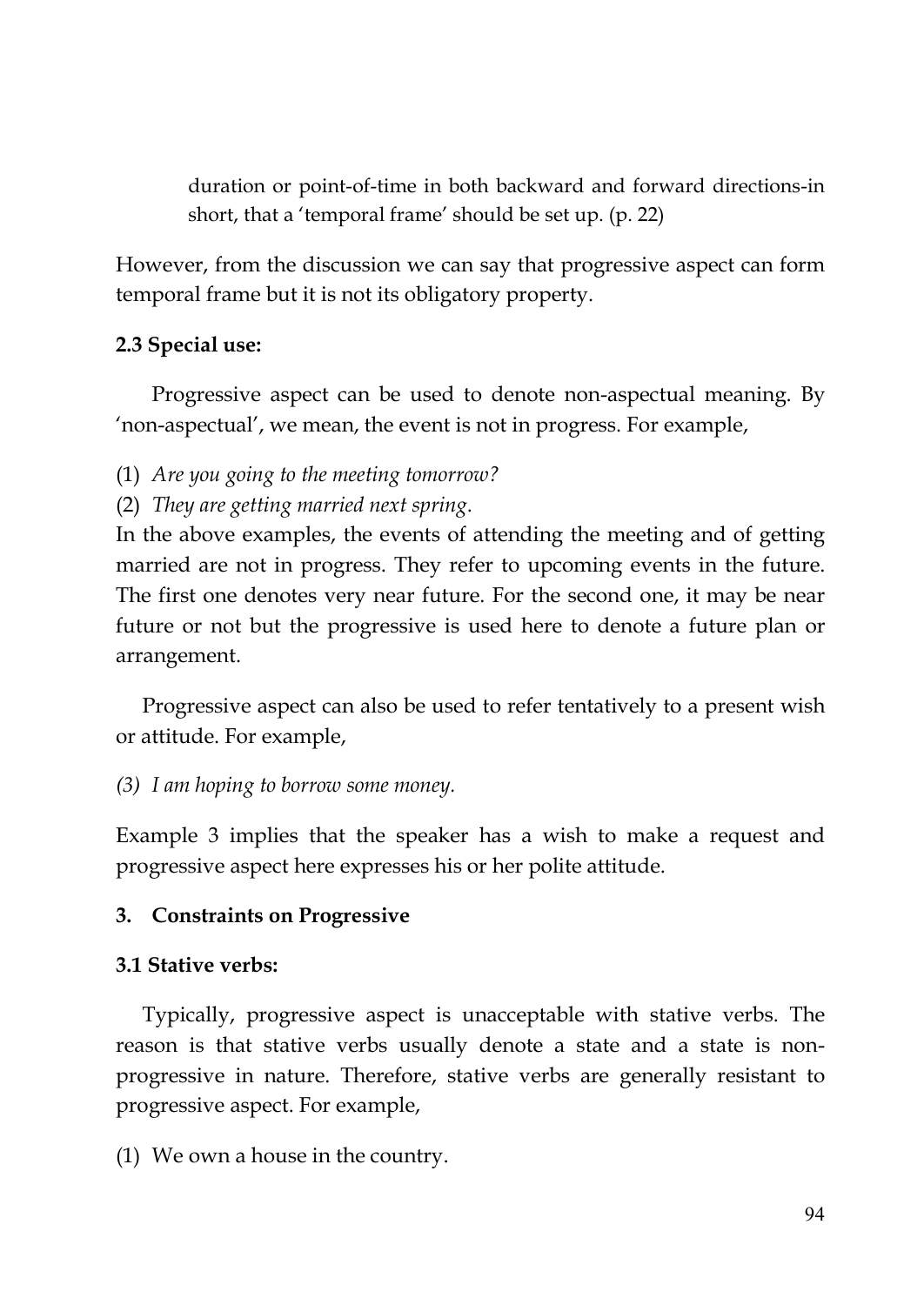duration or point-of-time in both backward and forward directions-in short, that a 'temporal frame' should be set up. (p. 22)

However, from the discussion we can say that progressive aspect can form temporal frame but it is not its obligatory property.

## **2.3 Special use:**

Progressive aspect can be used to denote non-aspectual meaning. By 'non-aspectual', we mean, the event is not in progress. For example,

- (1) *Are you going to the meeting tomorrow?*
- (2) *They are getting married next spring*.

In the above examples, the events of attending the meeting and of getting married are not in progress. They refer to upcoming events in the future. The first one denotes very near future. For the second one, it may be near future or not but the progressive is used here to denote a future plan or arrangement.

Progressive aspect can also be used to refer tentatively to a present wish or attitude. For example,

*(3) I am hoping to borrow some money.*

Example 3 implies that the speaker has a wish to make a request and progressive aspect here expresses his or her polite attitude.

## **3. Constraints on Progressive**

## **3.1 Stative verbs:**

Typically, progressive aspect is unacceptable with stative verbs. The reason is that stative verbs usually denote a state and a state is nonprogressive in nature. Therefore, stative verbs are generally resistant to progressive aspect. For example,

(1) We own a house in the country.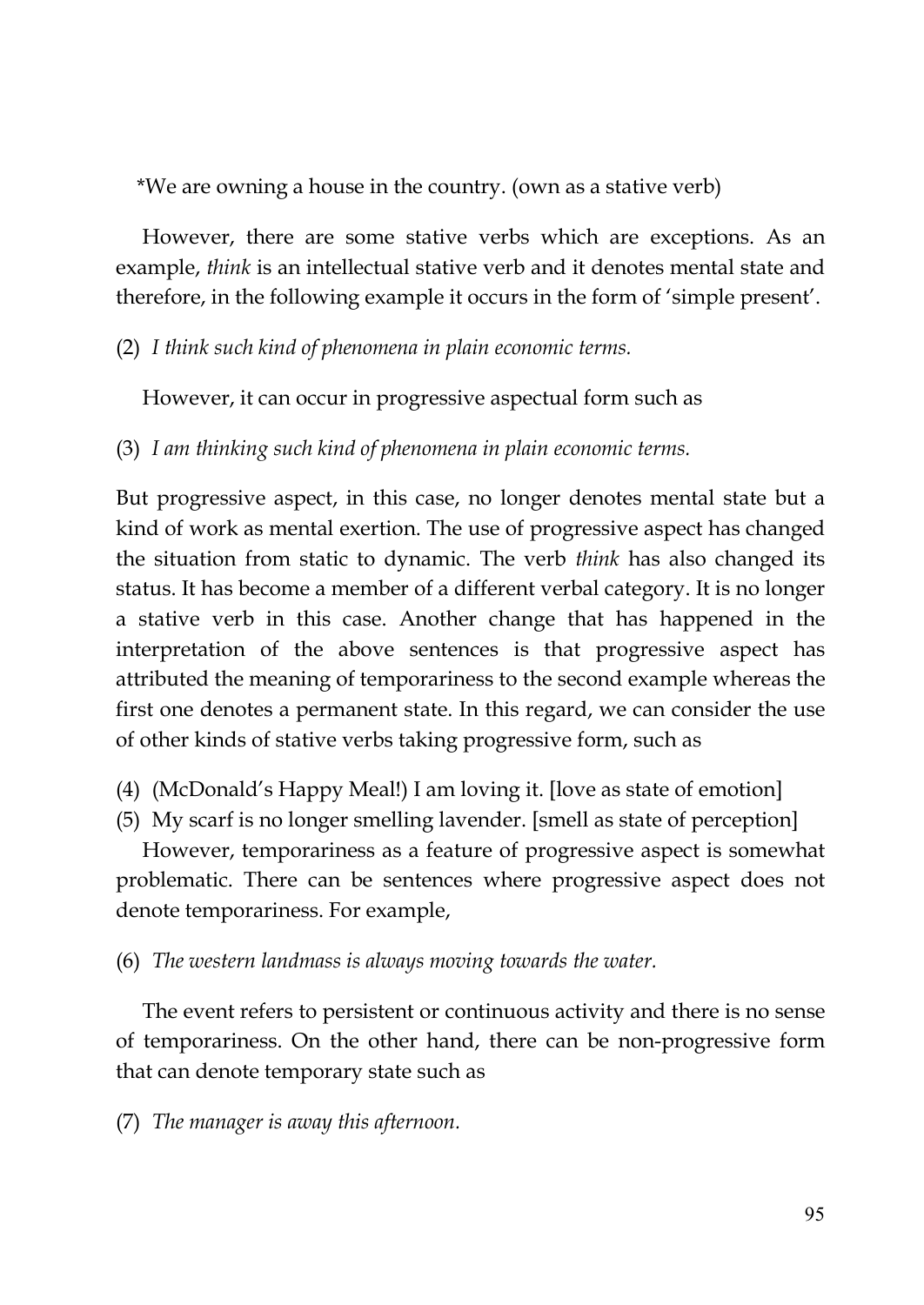\*We are owning a house in the country. (own as a stative verb)

However, there are some stative verbs which are exceptions. As an example, *think* is an intellectual stative verb and it denotes mental state and therefore, in the following example it occurs in the form of 'simple present'.

(2) *I think such kind of phenomena in plain economic terms.*

However, it can occur in progressive aspectual form such as

(3) *I am thinking such kind of phenomena in plain economic terms.*

But progressive aspect, in this case, no longer denotes mental state but a kind of work as mental exertion. The use of progressive aspect has changed the situation from static to dynamic. The verb *think* has also changed its status. It has become a member of a different verbal category. It is no longer a stative verb in this case. Another change that has happened in the interpretation of the above sentences is that progressive aspect has attributed the meaning of temporariness to the second example whereas the first one denotes a permanent state. In this regard, we can consider the use of other kinds of stative verbs taking progressive form, such as

- (4) (McDonald's Happy Meal!) I am loving it. [love as state of emotion]
- (5) My scarf is no longer smelling lavender. [smell as state of perception]

However, temporariness as a feature of progressive aspect is somewhat problematic. There can be sentences where progressive aspect does not denote temporariness. For example,

(6) *The western landmass is always moving towards the water.*

The event refers to persistent or continuous activity and there is no sense of temporariness. On the other hand, there can be non-progressive form that can denote temporary state such as

(7) *The manager is away this afternoon.*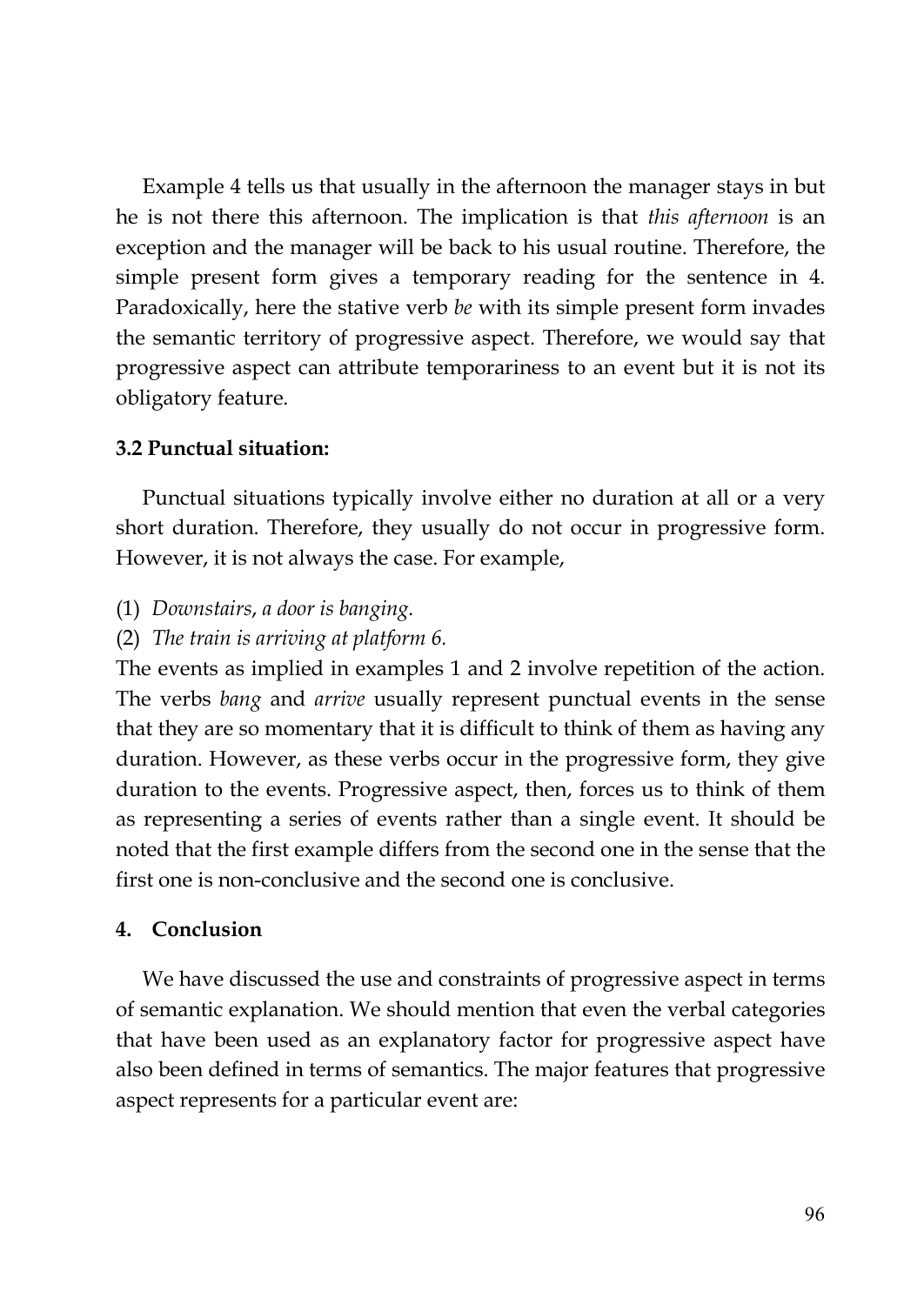Example 4 tells us that usually in the afternoon the manager stays in but he is not there this afternoon. The implication is that *this afternoon* is an exception and the manager will be back to his usual routine. Therefore, the simple present form gives a temporary reading for the sentence in 4. Paradoxically, here the stative verb *be* with its simple present form invades the semantic territory of progressive aspect. Therefore, we would say that progressive aspect can attribute temporariness to an event but it is not its obligatory feature.

#### **3.2 Punctual situation:**

Punctual situations typically involve either no duration at all or a very short duration. Therefore, they usually do not occur in progressive form. However, it is not always the case. For example,

- (1) *Downstairs*, *a door is banging.*
- (2) *The train is arriving at platform 6.*

The events as implied in examples 1 and 2 involve repetition of the action. The verbs *bang* and *arrive* usually represent punctual events in the sense that they are so momentary that it is difficult to think of them as having any duration. However, as these verbs occur in the progressive form, they give duration to the events. Progressive aspect, then, forces us to think of them as representing a series of events rather than a single event. It should be noted that the first example differs from the second one in the sense that the first one is non-conclusive and the second one is conclusive.

#### **4. Conclusion**

We have discussed the use and constraints of progressive aspect in terms of semantic explanation. We should mention that even the verbal categories that have been used as an explanatory factor for progressive aspect have also been defined in terms of semantics. The major features that progressive aspect represents for a particular event are: